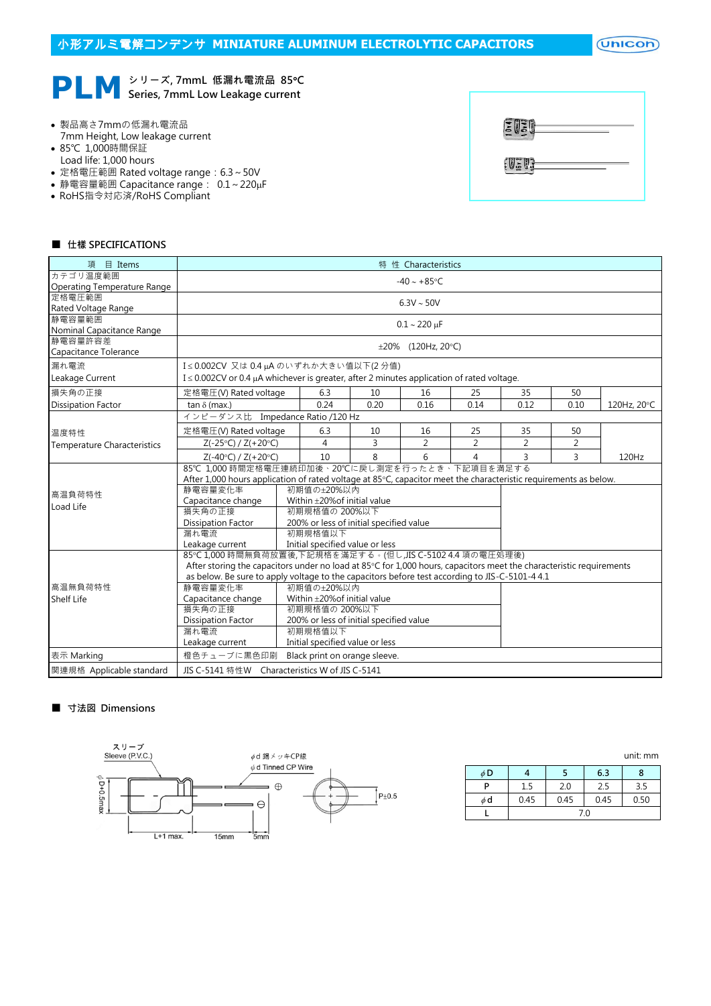$($ Unicon $)$ 

# **PLM** シリーズ, 7mmL 低漏れ電流品 85°C<br>Series, 7mmL Low Leakage current Series, 7mmL Low Leakage current

- 製品高さ7mmの低漏れ電流品 7mm Height, Low leakage current
- 85℃ 1,000時間保証
- Load life: 1,000 hours
- 定格電圧範囲 Rated voltage range: 6.3~50V
- 静電容量範囲 Capacitance range: 0.1~220µF
- RoHS指令対応済/RoHS Compliant



# ■ 仕樣 SPECIFICATIONS

| 項<br>$\Box$ Items                  | 特 性 Characteristics                                                                                                 |                                   |                                 |      |      |                |                |                |             |  |  |  |
|------------------------------------|---------------------------------------------------------------------------------------------------------------------|-----------------------------------|---------------------------------|------|------|----------------|----------------|----------------|-------------|--|--|--|
| カテゴリ温度範囲                           | $-40 \sim +85$ °C                                                                                                   |                                   |                                 |      |      |                |                |                |             |  |  |  |
| Operating Temperature Range        |                                                                                                                     |                                   |                                 |      |      |                |                |                |             |  |  |  |
| 定格電圧範囲<br>Rated Voltage Range      | $6.3V \sim 50V$                                                                                                     |                                   |                                 |      |      |                |                |                |             |  |  |  |
| 静電容量範囲                             |                                                                                                                     |                                   |                                 |      |      |                |                |                |             |  |  |  |
| Nominal Capacitance Range          | $0.1 - 220 \mu F$                                                                                                   |                                   |                                 |      |      |                |                |                |             |  |  |  |
| 静電容量許容差                            |                                                                                                                     |                                   |                                 |      |      |                |                |                |             |  |  |  |
| Capacitance Tolerance              |                                                                                                                     | $\pm 20\%$ (120Hz, 20°C)          |                                 |      |      |                |                |                |             |  |  |  |
| 漏れ電流                               |                                                                                                                     | I≤0.002CV 又は0.4µAのいずれか大きい値以下(2分値) |                                 |      |      |                |                |                |             |  |  |  |
| Leakage Current                    | I $\leq$ 0.002CV or 0.4 $\mu$ A whichever is greater, after 2 minutes application of rated voltage.                 |                                   |                                 |      |      |                |                |                |             |  |  |  |
| 損失角の正接                             | 定格電圧(V) Rated voltage                                                                                               |                                   | 6.3                             | 10   | 16   | 25             | 35             | 50             |             |  |  |  |
| <b>Dissipation Factor</b>          | $tan \delta$ (max.)                                                                                                 |                                   | 0.24                            | 0.20 | 0.16 | 0.14           | 0.12           | 0.10           | 120Hz, 20°C |  |  |  |
|                                    | インピーダンス比 Impedance Ratio /120 Hz                                                                                    |                                   |                                 |      |      |                |                |                |             |  |  |  |
| 温度特性                               | 定格電圧(V) Rated voltage                                                                                               |                                   | 6.3                             | 10   | 16   | 25             | 35             | 50             |             |  |  |  |
| <b>Temperature Characteristics</b> | $Z(-25°C) / Z(+20°C)$                                                                                               |                                   | 4                               | 3    | 2    | $\overline{2}$ | $\overline{2}$ | $\overline{2}$ |             |  |  |  |
|                                    | $Z(-40°C) / Z(+20°C)$                                                                                               |                                   | 10                              | 8    | 6    | 4              | 3              | 3              | 120Hz       |  |  |  |
|                                    | 85℃ 1,000 時間定格電圧連続印加後、20℃に戻し測定を行ったとき、下記項目を満足する                                                                      |                                   |                                 |      |      |                |                |                |             |  |  |  |
|                                    | After 1,000 hours application of rated voltage at 85°C, capacitor meet the characteristic requirements as below.    |                                   |                                 |      |      |                |                |                |             |  |  |  |
| 高温負荷特性                             | 静電容量変化率<br>初期值の±20%以内                                                                                               |                                   |                                 |      |      |                |                |                |             |  |  |  |
| Load Life                          | Within ±20% of initial value<br>Capacitance change                                                                  |                                   |                                 |      |      |                |                |                |             |  |  |  |
|                                    | 初期規格值の 200%以下<br>損失角の正接                                                                                             |                                   |                                 |      |      |                |                |                |             |  |  |  |
|                                    | Dissipation Factor<br>200% or less of initial specified value                                                       |                                   |                                 |      |      |                |                |                |             |  |  |  |
|                                    | 漏れ電流<br>初期規格值以下                                                                                                     |                                   |                                 |      |      |                |                |                |             |  |  |  |
|                                    | Initial specified value or less<br>Leakage current                                                                  |                                   |                                 |      |      |                |                |                |             |  |  |  |
|                                    | 85℃1,000時間無負荷放置後,下記規格を滿足する。(但し,JIS C-5102 4.4 項の電圧処理後)                                                              |                                   |                                 |      |      |                |                |                |             |  |  |  |
|                                    | After storing the capacitors under no load at 85°C for 1,000 hours, capacitors meet the characteristic requirements |                                   |                                 |      |      |                |                |                |             |  |  |  |
|                                    | as below. Be sure to apply voltage to the capacitors before test according to JIS-C-5101-4 4.1                      |                                   |                                 |      |      |                |                |                |             |  |  |  |
| 高温無負荷特性                            | 静雷容量変化率<br>初期值の±20%以内                                                                                               |                                   |                                 |      |      |                |                |                |             |  |  |  |
| <b>Shelf Life</b>                  | Capacitance change<br>Within ±20% of initial value                                                                  |                                   |                                 |      |      |                |                |                |             |  |  |  |
|                                    | 損失角の正接<br>初期規格値の 200%以下<br>200% or less of initial specified value                                                  |                                   |                                 |      |      |                |                |                |             |  |  |  |
|                                    | <b>Dissipation Factor</b>                                                                                           |                                   |                                 |      |      |                |                |                |             |  |  |  |
|                                    | 初期規格值以下<br>漏れ電流                                                                                                     |                                   |                                 |      |      |                |                |                |             |  |  |  |
|                                    |                                                                                                                     |                                   |                                 |      |      |                |                |                |             |  |  |  |
|                                    | Leakage current                                                                                                     |                                   | Initial specified value or less |      |      |                |                |                |             |  |  |  |
| 表示 Marking                         | 橙色チューブに黒色印刷                                                                                                         |                                   | Black print on orange sleeve.   |      |      |                |                |                |             |  |  |  |

# ■ 寸法図 Dimensions



|          |      |      |      | <u>unit. min</u> |  |  |  |
|----------|------|------|------|------------------|--|--|--|
| $\phi$ D |      |      | 6.3  | x                |  |  |  |
| P        | 1.5  | 2.0  | 2.5  | 3.5              |  |  |  |
| $\phi$ d | 0.45 | 0.45 | 0.45 | 0.50             |  |  |  |
|          | 7.0  |      |      |                  |  |  |  |